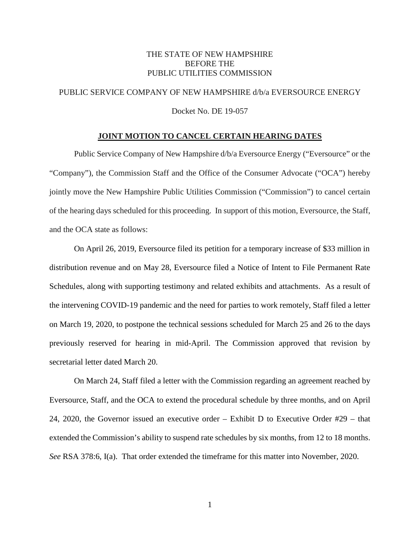#### THE STATE OF NEW HAMPSHIRE BEFORE THE PUBLIC UTILITIES COMMISSION

### PUBLIC SERVICE COMPANY OF NEW HAMPSHIRE d/b/a EVERSOURCE ENERGY

Docket No. DE 19-057

#### **JOINT MOTION TO CANCEL CERTAIN HEARING DATES**

Public Service Company of New Hampshire d/b/a Eversource Energy ("Eversource" or the "Company"), the Commission Staff and the Office of the Consumer Advocate ("OCA") hereby jointly move the New Hampshire Public Utilities Commission ("Commission") to cancel certain of the hearing days scheduled for this proceeding. In support of this motion, Eversource, the Staff, and the OCA state as follows:

On April 26, 2019, Eversource filed its petition for a temporary increase of \$33 million in distribution revenue and on May 28, Eversource filed a Notice of Intent to File Permanent Rate Schedules, along with supporting testimony and related exhibits and attachments. As a result of the intervening COVID-19 pandemic and the need for parties to work remotely, Staff filed a letter on March 19, 2020, to postpone the technical sessions scheduled for March 25 and 26 to the days previously reserved for hearing in mid-April. The Commission approved that revision by secretarial letter dated March 20.

On March 24, Staff filed a letter with the Commission regarding an agreement reached by Eversource, Staff, and the OCA to extend the procedural schedule by three months, and on April 24, 2020, the Governor issued an executive order – Exhibit D to Executive Order #29 – that extended the Commission's ability to suspend rate schedules by six months, from 12 to 18 months. *See* RSA 378:6, I(a). That order extended the timeframe for this matter into November, 2020.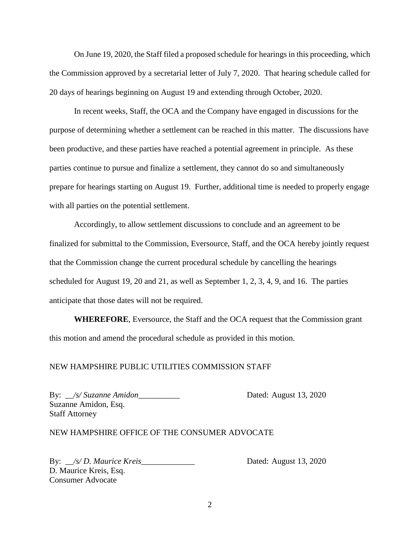On June 19, 2020, the Staff filed a proposed schedule for hearings in this proceeding, which the Commission approved by a secretarial letter of July 7, 2020. That hearing schedule called for 20 days of hearings beginning on August 19 and extending through October, 2020.

In recent weeks, Staff, the OCA and the Company have engaged in discussions for the purpose of determining whether a settlement can be reached in this matter. The discussions have been productive, and these parties have reached a potential agreement in principle. As these parties continue to pursue and finalize a settlement, they cannot do so and simultaneously prepare for hearings starting on August 19. Further, additional time is needed to properly engage with all parties on the potential settlement.

Accordingly, to allow settlement discussions to conclude and an agreement to be finalized for submittal to the Commission, Eversource, Staff, and the OCA hereby jointly request that the Commission change the current procedural schedule by cancelling the hearings scheduled for August 19, 20 and 21, as well as September 1, 2, 3, 4, 9, and 16. The parties anticipate that those dates will not be required.

**WHEREFORE**, Eversource, the Staff and the OCA request that the Commission grant this motion and amend the procedural schedule as provided in this motion.

#### NEW HAMPSHIRE PUBLIC UTILITIES COMMISSION STAFF

By: \_\_*/s/ Suzanne Amidon*\_\_\_\_\_\_\_\_\_\_ Dated: August 13, 2020 Suzanne Amidon, Esq. Staff Attorney

#### NEW HAMPSHIRE OFFICE OF THE CONSUMER ADVOCATE

By: \_\_*/s/ D. Maurice Kreis*\_\_\_\_\_\_\_\_\_\_\_\_\_ Dated: August 13, 2020 D. Maurice Kreis, Esq. Consumer Advocate